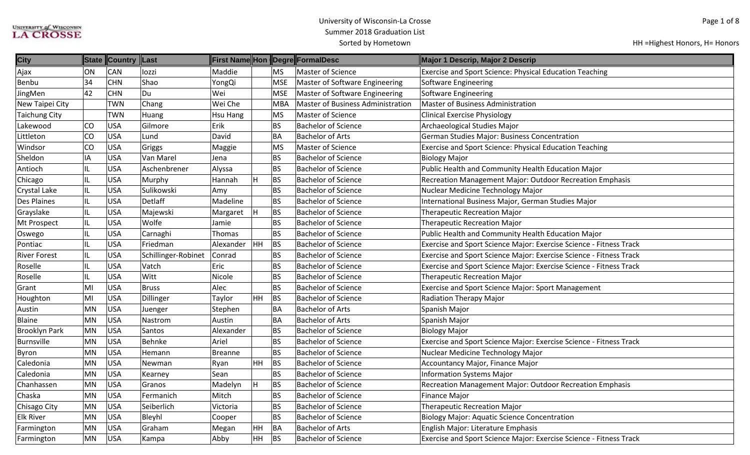| <b>City</b>          |           | State Country Last |                     |               |           |            | First Name Hon Degre FormalDesc          | Major 1 Descrip, Major 2 Descrip                                   |
|----------------------|-----------|--------------------|---------------------|---------------|-----------|------------|------------------------------------------|--------------------------------------------------------------------|
| Ajax                 | ON        | <b>CAN</b>         | lozzi               | Maddie        |           | <b>MS</b>  | Master of Science                        | Exercise and Sport Science: Physical Education Teaching            |
| Benbu                | 34        | <b>CHN</b>         | Shao                | YongQi        |           | <b>MSE</b> | Master of Software Engineering           | Software Engineering                                               |
| JingMen              | 42        | <b>CHN</b>         | Du                  | Wei           |           | <b>MSE</b> | Master of Software Engineering           | Software Engineering                                               |
| New Taipei City      |           | <b>TWN</b>         | Chang               | Wei Che       |           | <b>MBA</b> | <b>Master of Business Administration</b> | <b>Master of Business Administration</b>                           |
| <b>Taichung City</b> |           | <b>TWN</b>         | Huang               | Hsu Hang      |           | <b>MS</b>  | Master of Science                        | <b>Clinical Exercise Physiology</b>                                |
| Lakewood             | CO        | <b>USA</b>         | Gilmore             | Erik          |           | <b>BS</b>  | <b>Bachelor of Science</b>               | Archaeological Studies Major                                       |
| Littleton            | CO        | <b>USA</b>         | Lund                | David         |           | <b>BA</b>  | <b>Bachelor of Arts</b>                  | German Studies Major: Business Concentration                       |
| Windsor              | co        | <b>USA</b>         | Griggs              | Maggie        |           | <b>MS</b>  | Master of Science                        | Exercise and Sport Science: Physical Education Teaching            |
| Sheldon              | ΙA        | <b>USA</b>         | Van Marel           | Jena          |           | <b>BS</b>  | <b>Bachelor of Science</b>               | <b>Biology Major</b>                                               |
| Antioch              | IL        | <b>USA</b>         | Aschenbrener        | Alyssa        |           | <b>BS</b>  | <b>Bachelor of Science</b>               | Public Health and Community Health Education Major                 |
| Chicago              | IL        | <b>USA</b>         | Murphy              | Hannah        |           | <b>BS</b>  | <b>Bachelor of Science</b>               | Recreation Management Major: Outdoor Recreation Emphasis           |
| <b>Crystal Lake</b>  | IL        | <b>USA</b>         | Sulikowski          | Amy           |           | <b>BS</b>  | <b>Bachelor of Science</b>               | Nuclear Medicine Technology Major                                  |
| Des Plaines          | IL        | <b>USA</b>         | Detlaff             | Madeline      |           | <b>BS</b>  | <b>Bachelor of Science</b>               | International Business Major, German Studies Major                 |
| Grayslake            | IL        | <b>USA</b>         | Majewski            | Margaret      | H         | <b>BS</b>  | <b>Bachelor of Science</b>               | <b>Therapeutic Recreation Major</b>                                |
| <b>Mt Prospect</b>   | IL        | <b>USA</b>         | Wolfe               | Jamie         |           | <b>BS</b>  | <b>Bachelor of Science</b>               | <b>Therapeutic Recreation Major</b>                                |
| Oswego               | IL        | <b>USA</b>         | Carnaghi            | <b>Thomas</b> |           | <b>BS</b>  | <b>Bachelor of Science</b>               | Public Health and Community Health Education Major                 |
| Pontiac              | IL        | <b>USA</b>         | Friedman            | Alexander     | HH        | BS         | <b>Bachelor of Science</b>               | Exercise and Sport Science Major: Exercise Science - Fitness Track |
| <b>River Forest</b>  | IL        | <b>USA</b>         | Schillinger-Robinet | Conrad        |           | <b>BS</b>  | <b>Bachelor of Science</b>               | Exercise and Sport Science Major: Exercise Science - Fitness Track |
| Roselle              | IL        | <b>USA</b>         | Vatch               | Eric          |           | <b>BS</b>  | <b>Bachelor of Science</b>               | Exercise and Sport Science Major: Exercise Science - Fitness Track |
| Roselle              | IL        | <b>USA</b>         | Witt                | Nicole        |           | <b>BS</b>  | <b>Bachelor of Science</b>               | <b>Therapeutic Recreation Major</b>                                |
| Grant                | MI        | <b>USA</b>         | <b>Bruss</b>        | Alec          |           | <b>BS</b>  | <b>Bachelor of Science</b>               | Exercise and Sport Science Major: Sport Management                 |
| Houghton             | MI        | <b>USA</b>         | Dillinger           | Taylor        | HH        | BS         | <b>Bachelor of Science</b>               | <b>Radiation Therapy Major</b>                                     |
| Austin               | <b>MN</b> | <b>USA</b>         | Juenger             | Stephen       |           | <b>BA</b>  | <b>Bachelor of Arts</b>                  | Spanish Major                                                      |
| <b>Blaine</b>        | <b>MN</b> | <b>USA</b>         | Nastrom             | Austin        |           | <b>BA</b>  | <b>Bachelor of Arts</b>                  | Spanish Major                                                      |
| <b>Brooklyn Park</b> | <b>MN</b> | <b>USA</b>         | Santos              | Alexander     |           | <b>BS</b>  | <b>Bachelor of Science</b>               | <b>Biology Major</b>                                               |
| Burnsville           | <b>MN</b> | <b>USA</b>         | Behnke              | Ariel         |           | <b>BS</b>  | <b>Bachelor of Science</b>               | Exercise and Sport Science Major: Exercise Science - Fitness Track |
| Byron                | <b>MN</b> | <b>USA</b>         | Hemann              | Breanne       |           | <b>BS</b>  | <b>Bachelor of Science</b>               | Nuclear Medicine Technology Major                                  |
| Caledonia            | <b>MN</b> | <b>USA</b>         | Newman              | Ryan          | <b>HH</b> | BS         | <b>Bachelor of Science</b>               | Accountancy Major, Finance Major                                   |
| Caledonia            | <b>MN</b> | <b>USA</b>         | Kearney             | Sean          |           | <b>BS</b>  | <b>Bachelor of Science</b>               | <b>Information Systems Major</b>                                   |
| Chanhassen           | MN        | <b>USA</b>         | Granos              | Madelyn       | H         | <b>BS</b>  | <b>Bachelor of Science</b>               | Recreation Management Major: Outdoor Recreation Emphasis           |
| Chaska               | <b>MN</b> | USA                | Fermanich           | Mitch         |           | <b>BS</b>  | <b>Bachelor of Science</b>               | Finance Major                                                      |
| Chisago City         | MN        | USA                | Seiberlich          | Victoria      |           | <b>BS</b>  | <b>Bachelor of Science</b>               | <b>Therapeutic Recreation Major</b>                                |
| <b>Elk River</b>     | MN        | <b>USA</b>         | Bleyhl              | Cooper        |           | <b>BS</b>  | <b>Bachelor of Science</b>               | <b>Biology Major: Aquatic Science Concentration</b>                |
| Farmington           | MN        | <b>USA</b>         | Graham              | Megan         | HH        | BA         | <b>Bachelor of Arts</b>                  | English Major: Literature Emphasis                                 |
| Farmington           | MN        | USA                | Kampa               | Abby          | HH        | <b>BS</b>  | <b>Bachelor of Science</b>               | Exercise and Sport Science Major: Exercise Science - Fitness Track |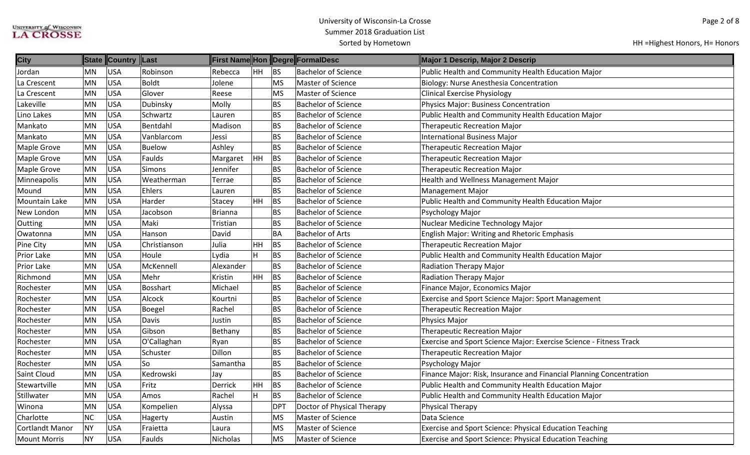| <b>City</b>            |           | State Country Last |                 |                |           |            | First Name Hon Degre FormalDesc | Major 1 Descrip, Major 2 Descrip                                    |
|------------------------|-----------|--------------------|-----------------|----------------|-----------|------------|---------------------------------|---------------------------------------------------------------------|
| Jordan                 | <b>MN</b> | <b>USA</b>         | Robinson        | Rebecca        | HH        | <b>BS</b>  | <b>Bachelor of Science</b>      | Public Health and Community Health Education Major                  |
| La Crescent            | <b>MN</b> | <b>USA</b>         | <b>Boldt</b>    | Jolene         |           | <b>MS</b>  | <b>Master of Science</b>        | Biology: Nurse Anesthesia Concentration                             |
| La Crescent            | MN        | <b>USA</b>         | Glover          | Reese          |           | <b>MS</b>  | Master of Science               | <b>Clinical Exercise Physiology</b>                                 |
| Lakeville              | <b>MN</b> | <b>USA</b>         | Dubinsky        | Molly          |           | <b>BS</b>  | <b>Bachelor of Science</b>      | <b>Physics Major: Business Concentration</b>                        |
| Lino Lakes             | <b>MN</b> | <b>USA</b>         | Schwartz        | Lauren         |           | <b>BS</b>  | <b>Bachelor of Science</b>      | Public Health and Community Health Education Major                  |
| Mankato                | <b>MN</b> | <b>USA</b>         | Bentdahl        | Madison        |           | <b>BS</b>  | <b>Bachelor of Science</b>      | <b>Therapeutic Recreation Major</b>                                 |
| Mankato                | <b>MN</b> | <b>USA</b>         | Vanblarcom      | Jessi          |           | <b>BS</b>  | <b>Bachelor of Science</b>      | <b>International Business Major</b>                                 |
| <b>Maple Grove</b>     | MN        | <b>USA</b>         | Buelow          | Ashley         |           | BS         | <b>Bachelor of Science</b>      | <b>Therapeutic Recreation Major</b>                                 |
| <b>Maple Grove</b>     | MN        | <b>USA</b>         | Faulds          | Margaret       | HH        | BS         | <b>Bachelor of Science</b>      | Therapeutic Recreation Major                                        |
| <b>Maple Grove</b>     | MN        | <b>USA</b>         | Simons          | Jennifer       |           | <b>BS</b>  | <b>Bachelor of Science</b>      | <b>Therapeutic Recreation Major</b>                                 |
| Minneapolis            | <b>MN</b> | <b>USA</b>         | Weatherman      | Terrae         |           | <b>BS</b>  | <b>Bachelor of Science</b>      | Health and Wellness Management Major                                |
| Mound                  | <b>MN</b> | <b>USA</b>         | Ehlers          | Lauren         |           | <b>BS</b>  | <b>Bachelor of Science</b>      | <b>Management Major</b>                                             |
| <b>Mountain Lake</b>   | MN        | <b>USA</b>         | Harder          | Stacey         | HH        | BS         | <b>Bachelor of Science</b>      | Public Health and Community Health Education Major                  |
| New London             | MN        | <b>USA</b>         | Jacobson        | <b>Brianna</b> |           | <b>BS</b>  | <b>Bachelor of Science</b>      | Psychology Major                                                    |
| Outting                | <b>MN</b> | <b>USA</b>         | Maki            | Tristian       |           | <b>BS</b>  | <b>Bachelor of Science</b>      | Nuclear Medicine Technology Major                                   |
| Owatonna               | <b>MN</b> | <b>USA</b>         | Hanson          | David          |           | BA         | <b>Bachelor of Arts</b>         | <b>English Major: Writing and Rhetoric Emphasis</b>                 |
| Pine City              | MN        | <b>USA</b>         | Christianson    | Julia          | HH        | BS         | <b>Bachelor of Science</b>      | <b>Therapeutic Recreation Major</b>                                 |
| Prior Lake             | <b>MN</b> | <b>USA</b>         | Houle           | Lydia          |           | <b>BS</b>  | <b>Bachelor of Science</b>      | Public Health and Community Health Education Major                  |
| <b>Prior Lake</b>      | <b>MN</b> | <b>USA</b>         | McKennell       | Alexander      |           | <b>BS</b>  | <b>Bachelor of Science</b>      | <b>Radiation Therapy Major</b>                                      |
| Richmond               | MN        | <b>USA</b>         | Mehr            | Kristin        | HH        | BS         | <b>Bachelor of Science</b>      | <b>Radiation Therapy Major</b>                                      |
| Rochester              | <b>MN</b> | <b>USA</b>         | <b>Bosshart</b> | Michael        |           | <b>BS</b>  | <b>Bachelor of Science</b>      | Finance Major, Economics Major                                      |
| Rochester              | <b>MN</b> | <b>USA</b>         | Alcock          | Kourtni        |           | <b>BS</b>  | <b>Bachelor of Science</b>      | Exercise and Sport Science Major: Sport Management                  |
| Rochester              | MN        | <b>USA</b>         | Boegel          | Rachel         |           | <b>BS</b>  | <b>Bachelor of Science</b>      | <b>Therapeutic Recreation Major</b>                                 |
| Rochester              | <b>MN</b> | <b>USA</b>         | Davis           | Justin         |           | <b>BS</b>  | <b>Bachelor of Science</b>      | Physics Major                                                       |
| Rochester              | <b>MN</b> | <b>USA</b>         | Gibson          | Bethany        |           | <b>BS</b>  | <b>Bachelor of Science</b>      | <b>Therapeutic Recreation Major</b>                                 |
| Rochester              | <b>MN</b> | <b>USA</b>         | O'Callaghan     | Ryan           |           | <b>BS</b>  | <b>Bachelor of Science</b>      | Exercise and Sport Science Major: Exercise Science - Fitness Track  |
| Rochester              | MN        | <b>USA</b>         | Schuster        | Dillon         |           | <b>BS</b>  | <b>Bachelor of Science</b>      | <b>Therapeutic Recreation Major</b>                                 |
| Rochester              | MN        | <b>USA</b>         | So              | Samantha       |           | <b>BS</b>  | <b>Bachelor of Science</b>      | Psychology Major                                                    |
| Saint Cloud            | <b>MN</b> | <b>USA</b>         | Kedrowski       | Jay            |           | <b>BS</b>  | <b>Bachelor of Science</b>      | Finance Major: Risk, Insurance and Financial Planning Concentration |
| Stewartville           | MN        | <b>USA</b>         | Fritz           | Derrick        | <b>HH</b> | <b>BS</b>  | <b>Bachelor of Science</b>      | Public Health and Community Health Education Major                  |
| Stillwater             | MN        | <b>USA</b>         | Amos            | Rachel         | H         | BS         | <b>Bachelor of Science</b>      | Public Health and Community Health Education Major                  |
| Winona                 | MN        | USA                | Kompelien       | Alyssa         |           | <b>DPT</b> | Doctor of Physical Therapy      | <b>Physical Therapy</b>                                             |
| Charlotte              | NC        | <b>USA</b>         | Hagerty         | Austin         |           | MS         | Master of Science               | Data Science                                                        |
| <b>Cortlandt Manor</b> | NY        | <b>USA</b>         | Fraietta        | Laura          |           | <b>MS</b>  | Master of Science               | Exercise and Sport Science: Physical Education Teaching             |
| <b>Mount Morris</b>    | NY        | <b>USA</b>         | Faulds          | Nicholas       |           | <b>MS</b>  | Master of Science               | Exercise and Sport Science: Physical Education Teaching             |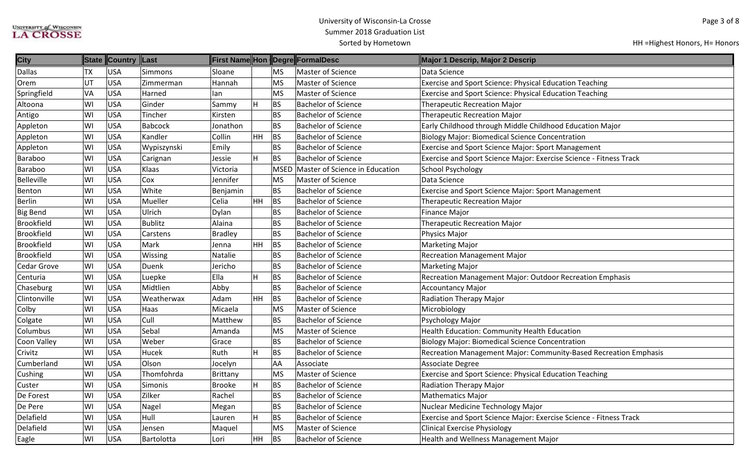Page 3 of 8

| <b>City</b>       |           | State Country Last |                |          |           |           | First Name Hon Degre FormalDesc     | Major 1 Descrip, Major 2 Descrip                                   |
|-------------------|-----------|--------------------|----------------|----------|-----------|-----------|-------------------------------------|--------------------------------------------------------------------|
| Dallas            | <b>TX</b> | USA                | <b>Simmons</b> | Sloane   |           | <b>MS</b> | Master of Science                   | Data Science                                                       |
| Orem              | UT        | USA                | Zimmerman      | Hannah   |           | <b>MS</b> | Master of Science                   | <b>Exercise and Sport Science: Physical Education Teaching</b>     |
| Springfield       | VA        | USA                | Harned         | lan      |           | <b>MS</b> | Master of Science                   | Exercise and Sport Science: Physical Education Teaching            |
| Altoona           | WI        | USA                | Ginder         | Sammy    | H         | <b>BS</b> | <b>Bachelor of Science</b>          | <b>Therapeutic Recreation Major</b>                                |
| Antigo            | WI        | USA                | Tincher        | Kirsten  |           | <b>BS</b> | <b>Bachelor of Science</b>          | <b>Therapeutic Recreation Major</b>                                |
| Appleton          | WI        | USA                | Babcock        | Jonathon |           | <b>BS</b> | <b>Bachelor of Science</b>          | Early Childhood through Middle Childhood Education Major           |
| Appleton          | WI        | USA                | Kandler        | Collin   | HH        | <b>BS</b> | <b>Bachelor of Science</b>          | Biology Major: Biomedical Science Concentration                    |
| Appleton          | WI        | USA                | Wypiszynski    | Emily    |           | <b>BS</b> | <b>Bachelor of Science</b>          | <b>Exercise and Sport Science Major: Sport Management</b>          |
| Baraboo           | WI        | USA                | Carignan       | Jessie   | H         | <b>BS</b> | <b>Bachelor of Science</b>          | Exercise and Sport Science Major: Exercise Science - Fitness Track |
| <b>Baraboo</b>    | WI        | USA                | Klaas          | Victoria |           |           | MSED Master of Science in Education | School Psychology                                                  |
| Belleville        | WI        | USA                | Cox            | Jennifer |           | <b>MS</b> | Master of Science                   | Data Science                                                       |
| Benton            | WI        | USA                | White          | Benjamin |           | <b>BS</b> | <b>Bachelor of Science</b>          | <b>Exercise and Sport Science Major: Sport Management</b>          |
| <b>Berlin</b>     | WI        | USA                | Mueller        | Celia    | <b>HH</b> | BS        | <b>Bachelor of Science</b>          | <b>Therapeutic Recreation Major</b>                                |
| <b>Big Bend</b>   | WI        | USA                | Ulrich         | Dylan    |           | <b>BS</b> | <b>Bachelor of Science</b>          | <b>Finance Major</b>                                               |
| <b>Brookfield</b> | WI        | USA                | <b>Bublitz</b> | Alaina   |           | <b>BS</b> | <b>Bachelor of Science</b>          | <b>Therapeutic Recreation Major</b>                                |
| Brookfield        | WI        | USA                | Carstens       | Bradley  |           | <b>BS</b> | <b>Bachelor of Science</b>          | Physics Major                                                      |
| <b>Brookfield</b> | WI        | USA                | Mark           | Jenna    | HH        | BS        | <b>Bachelor of Science</b>          | <b>Marketing Major</b>                                             |
| <b>Brookfield</b> | WI        | USA                | Wissing        | Natalie  |           | <b>BS</b> | <b>Bachelor of Science</b>          | <b>Recreation Management Major</b>                                 |
| Cedar Grove       | WI        | USA                | Duenk          | Jericho  |           | <b>BS</b> | <b>Bachelor of Science</b>          | <b>Marketing Major</b>                                             |
| Centuria          | WI        | USA                | Luepke         | Ella     | H         | <b>BS</b> | <b>Bachelor of Science</b>          | Recreation Management Major: Outdoor Recreation Emphasis           |
| Chaseburg         | WI        | USA                | Midtlien       | Abby     |           | <b>BS</b> | <b>Bachelor of Science</b>          | <b>Accountancy Major</b>                                           |
| Clintonville      | WI        | USA                | Weatherwax     | Adam     | <b>HH</b> | BS        | <b>Bachelor of Science</b>          | <b>Radiation Therapy Major</b>                                     |
| Colby             | WI        | USA                | Haas           | Micaela  |           | <b>MS</b> | Master of Science                   | Microbiology                                                       |
| Colgate           | WI        | USA                | Cull           | Matthew  |           | <b>BS</b> | <b>Bachelor of Science</b>          | Psychology Major                                                   |
| Columbus          | WI        | USA                | Sebal          | Amanda   |           | <b>MS</b> | Master of Science                   | Health Education: Community Health Education                       |
| Coon Valley       | WI        | USA                | Weber          | Grace    |           | <b>BS</b> | <b>Bachelor of Science</b>          | <b>Biology Major: Biomedical Science Concentration</b>             |
| Crivitz           | WI        | USA                | Hucek          | Ruth     |           | <b>BS</b> | <b>Bachelor of Science</b>          | Recreation Management Major: Community-Based Recreation Emphasis   |
| Cumberland        | WI        | USA                | Olson          | Jocelyn  |           | AA        | Associate                           | <b>Associate Degree</b>                                            |
| Cushing           | WI        | USA                | Thomfohrda     | Brittany |           | <b>MS</b> | Master of Science                   | Exercise and Sport Science: Physical Education Teaching            |
| Custer            | WI        | USA                | Simonis        | Brooke   |           | <b>BS</b> | <b>Bachelor of Science</b>          | Radiation Therapy Major                                            |
| De Forest         | WI        | USA                | Zilker         | Rachel   |           | BS.       | <b>Bachelor of Science</b>          | Mathematics Major                                                  |
| De Pere           | WI        | USA                | Nagel          | Megan    |           | <b>BS</b> | <b>Bachelor of Science</b>          | Nuclear Medicine Technology Major                                  |
| Delafield         | WI        | USA                | Hull           | Lauren   |           | <b>BS</b> | <b>Bachelor of Science</b>          | Exercise and Sport Science Major: Exercise Science - Fitness Track |
| Delafield         | WI        | USA                | Jensen         | Maquel   |           | <b>MS</b> | Master of Science                   | <b>Clinical Exercise Physiology</b>                                |
| Eagle             | WI        | USA                | Bartolotta     | Lori     | HH        | BS        | <b>Bachelor of Science</b>          | Health and Wellness Management Major                               |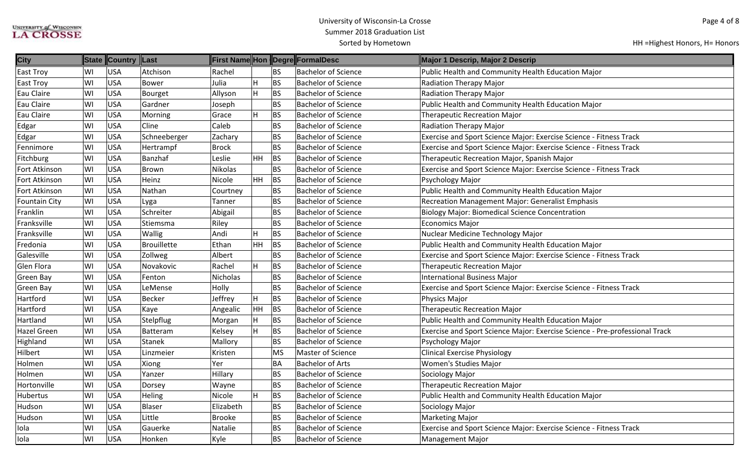| <b>City</b>          |     | State Country Last |                    |                 |           |           | First Name Hon Degre FormalDesc | Major 1 Descrip, Major 2 Descrip                                            |
|----------------------|-----|--------------------|--------------------|-----------------|-----------|-----------|---------------------------------|-----------------------------------------------------------------------------|
| East Troy            | lwı | <b>USA</b>         | Atchison           | Rachel          |           | BS        | <b>Bachelor of Science</b>      | Public Health and Community Health Education Major                          |
| East Troy            | lwı | <b>USA</b>         | Bower              | Julia           |           | <b>BS</b> | <b>Bachelor of Science</b>      | <b>Radiation Therapy Major</b>                                              |
| Eau Claire           | lwı | <b>USA</b>         | Bourget            | Allyson         | lH.       | <b>BS</b> | <b>Bachelor of Science</b>      | Radiation Therapy Major                                                     |
| Eau Claire           | WI  | <b>USA</b>         | Gardner            | Joseph          |           | <b>BS</b> | <b>Bachelor of Science</b>      | Public Health and Community Health Education Major                          |
| Eau Claire           | WI  | <b>USA</b>         | Morning            | Grace           |           | <b>BS</b> | <b>Bachelor of Science</b>      | <b>Therapeutic Recreation Major</b>                                         |
| Edgar                | WI  | <b>USA</b>         | Cline              | Caleb           |           | <b>BS</b> | <b>Bachelor of Science</b>      | Radiation Therapy Major                                                     |
| Edgar                | WI  | <b>USA</b>         | Schneeberger       | Zachary         |           | BS        | <b>Bachelor of Science</b>      | Exercise and Sport Science Major: Exercise Science - Fitness Track          |
| Fennimore            | lwı | <b>USA</b>         | Hertrampf          | Brock           |           | BS        | <b>Bachelor of Science</b>      | Exercise and Sport Science Major: Exercise Science - Fitness Track          |
| Fitchburg            | WI  | <b>USA</b>         | Banzhaf            | Leslie          | <b>HH</b> | <b>BS</b> | <b>Bachelor of Science</b>      | Therapeutic Recreation Major, Spanish Major                                 |
| Fort Atkinson        | WI  | <b>USA</b>         | Brown              | Nikolas         |           | <b>BS</b> | <b>Bachelor of Science</b>      | Exercise and Sport Science Major: Exercise Science - Fitness Track          |
| Fort Atkinson        | WI  | <b>USA</b>         | Heinz              | Nicole          | HH        | <b>BS</b> | <b>Bachelor of Science</b>      | Psychology Major                                                            |
| Fort Atkinson        | lwı | <b>USA</b>         | Nathan             | Courtney        |           | BS        | <b>Bachelor of Science</b>      | Public Health and Community Health Education Major                          |
| <b>Fountain City</b> | lwı | <b>USA</b>         | Lyga               | Tanner          |           | BS        | <b>Bachelor of Science</b>      | <b>Recreation Management Major: Generalist Emphasis</b>                     |
| Franklin             | WI  | <b>USA</b>         | Schreiter          | Abigail         |           | BS        | <b>Bachelor of Science</b>      | <b>Biology Major: Biomedical Science Concentration</b>                      |
| Franksville          | lwı | <b>USA</b>         | Stiemsma           | Riley           |           | BS        | <b>Bachelor of Science</b>      | Economics Major                                                             |
| Franksville          | WI  | <b>USA</b>         | Wallig             | Andi            |           | <b>BS</b> | <b>Bachelor of Science</b>      | Nuclear Medicine Technology Major                                           |
| Fredonia             | lwı | <b>USA</b>         | <b>Brouillette</b> | Ethan           | HH        | BS        | <b>Bachelor of Science</b>      | Public Health and Community Health Education Major                          |
| Galesville           | WI  | <b>USA</b>         | Zollweg            | Albert          |           | <b>BS</b> | <b>Bachelor of Science</b>      | Exercise and Sport Science Major: Exercise Science - Fitness Track          |
| Glen Flora           | lwı | <b>USA</b>         | Novakovic          | Rachel          |           | BS        | <b>Bachelor of Science</b>      | <b>Therapeutic Recreation Major</b>                                         |
| Green Bay            | lwı | <b>USA</b>         | Fenton             | <b>Nicholas</b> |           | <b>BS</b> | <b>Bachelor of Science</b>      | <b>International Business Major</b>                                         |
| Green Bay            | lwı | <b>USA</b>         | LeMense            | Holly           |           | <b>BS</b> | <b>Bachelor of Science</b>      | Exercise and Sport Science Major: Exercise Science - Fitness Track          |
| Hartford             | lwı | <b>USA</b>         | <b>Becker</b>      | Jeffrey         | lн.       | <b>BS</b> | <b>Bachelor of Science</b>      | Physics Major                                                               |
| Hartford             | WI  | <b>USA</b>         | Kaye               | Angealic        | HH        | BS        | <b>Bachelor of Science</b>      | <b>Therapeutic Recreation Major</b>                                         |
| Hartland             | WI  | <b>USA</b>         | Stelpflug          | Morgan          |           | BS        | <b>Bachelor of Science</b>      | Public Health and Community Health Education Major                          |
| Hazel Green          | WI  | <b>USA</b>         | Batteram           | Kelsey          |           | <b>BS</b> | <b>Bachelor of Science</b>      | Exercise and Sport Science Major: Exercise Science - Pre-professional Track |
| Highland             | lwı | <b>USA</b>         | <b>Stanek</b>      | Mallory         |           | BS        | <b>Bachelor of Science</b>      | Psychology Major                                                            |
| Hilbert              | lwı | <b>USA</b>         | Linzmeier          | Kristen         |           | MS        | Master of Science               | <b>Clinical Exercise Physiology</b>                                         |
| Holmen               | WI  | <b>USA</b>         | Xiong              | Yer             |           | <b>BA</b> | <b>Bachelor of Arts</b>         | Women's Studies Major                                                       |
| Holmen               | WI  | <b>USA</b>         | Yanzer             | Hillary         |           | <b>BS</b> | <b>Bachelor of Science</b>      | Sociology Major                                                             |
| Hortonville          | lwı | <b>USA</b>         | Dorsey             | Wayne           |           | BS        | <b>Bachelor of Science</b>      | <b>Therapeutic Recreation Major</b>                                         |
| Hubertus             | lwı | <b>USA</b>         | <b>Heling</b>      | Nicole          | ΙH.       | BS        | <b>Bachelor of Science</b>      | Public Health and Community Health Education Major                          |
| Hudson               | WI  | <b>USA</b>         | Blaser             | Elizabeth       |           | <b>BS</b> | <b>Bachelor of Science</b>      | Sociology Major                                                             |
| Hudson               | WI  | <b>USA</b>         | Little             | <b>Brooke</b>   |           | BS        | <b>Bachelor of Science</b>      | <b>Marketing Major</b>                                                      |
| Iola                 | lwı | <b>USA</b>         | Gauerke            | Natalie         |           | <b>BS</b> | <b>Bachelor of Science</b>      | Exercise and Sport Science Major: Exercise Science - Fitness Track          |
| Iola                 | WI  | <b>USA</b>         | Honken             | Kyle            |           | <b>BS</b> | <b>Bachelor of Science</b>      | Management Major                                                            |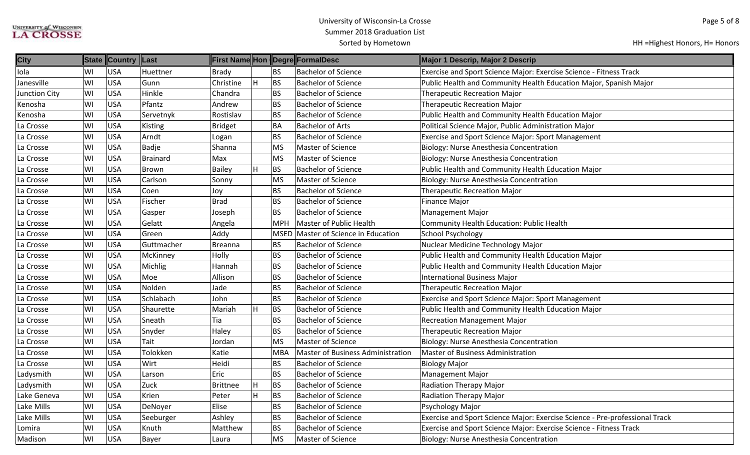| <b>City</b>          |     | State Country Last |                 |              |    |            | First Name Hon Degre FormalDesc          | Major 1 Descrip, Major 2 Descrip                                            |
|----------------------|-----|--------------------|-----------------|--------------|----|------------|------------------------------------------|-----------------------------------------------------------------------------|
| Iola                 | WI  | <b>USA</b>         | Huettner        | <b>Brady</b> |    | BS         | <b>Bachelor of Science</b>               | Exercise and Sport Science Major: Exercise Science - Fitness Track          |
| Janesville           | WI  | <b>USA</b>         | Gunn            | Christine    | H  | BS         | <b>Bachelor of Science</b>               | Public Health and Community Health Education Major, Spanish Major           |
| <b>Junction City</b> | WI  | <b>USA</b>         | Hinkle          | Chandra      |    | BS         | <b>Bachelor of Science</b>               | <b>Therapeutic Recreation Major</b>                                         |
| Kenosha              | lwı | USA                | Pfantz          | Andrew       |    | BS         | <b>Bachelor of Science</b>               | <b>Therapeutic Recreation Major</b>                                         |
| Kenosha              | WI  | <b>USA</b>         | Servetnyk       | Rostislav    |    | BS         | <b>Bachelor of Science</b>               | Public Health and Community Health Education Major                          |
| La Crosse            | lwı | <b>USA</b>         | Kisting         | Bridget      |    | BA         | <b>Bachelor of Arts</b>                  | Political Science Major, Public Administration Major                        |
| La Crosse            | WI  | <b>USA</b>         | Arndt           | Logan        |    | <b>BS</b>  | <b>Bachelor of Science</b>               | <b>Exercise and Sport Science Major: Sport Management</b>                   |
| La Crosse            | lwı | <b>USA</b>         | Badje           | Shanna       |    | <b>MS</b>  | Master of Science                        | Biology: Nurse Anesthesia Concentration                                     |
| La Crosse            | WI  | <b>USA</b>         | <b>Brainard</b> | Max!         |    | <b>MS</b>  | Master of Science                        | Biology: Nurse Anesthesia Concentration                                     |
| La Crosse            | lwı | <b>USA</b>         | Brown           | Bailey       | H  | BS         | <b>Bachelor of Science</b>               | Public Health and Community Health Education Major                          |
| La Crosse            | lwı | <b>USA</b>         | Carlson         | Sonny        |    | <b>MS</b>  | Master of Science                        | Biology: Nurse Anesthesia Concentration                                     |
| La Crosse            | WI  | <b>USA</b>         | Coen            | Joy          |    | BS         | <b>Bachelor of Science</b>               | <b>Therapeutic Recreation Major</b>                                         |
| La Crosse            | lwı | <b>USA</b>         | Fischer         | Brad         |    | BS         | <b>Bachelor of Science</b>               | Finance Major                                                               |
| La Crosse            | WI  | <b>USA</b>         | Gasper          | Joseph       |    | BS         | <b>Bachelor of Science</b>               | Management Major                                                            |
| La Crosse            | WI  | <b>USA</b>         | Gelatt          | Angela       |    | <b>MPH</b> | <b>Master of Public Health</b>           | Community Health Education: Public Health                                   |
| La Crosse            | WI  | <b>USA</b>         | Green           | Addy         |    |            | MSED Master of Science in Education      | <b>School Psychology</b>                                                    |
| La Crosse            | lwı | <b>USA</b>         | Guttmacher      | Breanna      |    | <b>BS</b>  | <b>Bachelor of Science</b>               | Nuclear Medicine Technology Major                                           |
| La Crosse            | lwı | <b>USA</b>         | McKinney        | Holly        |    | <b>BS</b>  | <b>Bachelor of Science</b>               | Public Health and Community Health Education Major                          |
| La Crosse            | WI  | <b>USA</b>         | Michlig         | Hannah       |    | <b>BS</b>  | <b>Bachelor of Science</b>               | Public Health and Community Health Education Major                          |
| La Crosse            | lwı | <b>USA</b>         | Moe             | Allison      |    | BS         | <b>Bachelor of Science</b>               | <b>International Business Major</b>                                         |
| La Crosse            | WI  | <b>USA</b>         | Nolden          | Jade         |    | BS         | <b>Bachelor of Science</b>               | <b>Therapeutic Recreation Major</b>                                         |
| La Crosse            | lwı | <b>USA</b>         | Schlabach       | John         |    | BS         | <b>Bachelor of Science</b>               | Exercise and Sport Science Major: Sport Management                          |
| La Crosse            | lwı | <b>USA</b>         | Shaurette       | Mariah       | lн | <b>BS</b>  | <b>Bachelor of Science</b>               | Public Health and Community Health Education Major                          |
| La Crosse            | WI  | <b>USA</b>         | Sneath          | Tia          |    | <b>BS</b>  | <b>Bachelor of Science</b>               | <b>Recreation Management Major</b>                                          |
| La Crosse            | lwı | <b>USA</b>         | Snyder          | Haley        |    | <b>BS</b>  | <b>Bachelor of Science</b>               | <b>Therapeutic Recreation Major</b>                                         |
| La Crosse            | WI  | <b>USA</b>         | Tait            | Jordan       |    | <b>MS</b>  | Master of Science                        | Biology: Nurse Anesthesia Concentration                                     |
| La Crosse            | WI  | <b>USA</b>         | Tolokken        | Katie        |    | <b>MBA</b> | <b>Master of Business Administration</b> | <b>Master of Business Administration</b>                                    |
| La Crosse            | WI  | <b>USA</b>         | Wirt            | Heidi        |    | <b>BS</b>  | <b>Bachelor of Science</b>               | <b>Biology Major</b>                                                        |
| Ladysmith            | WI  | <b>USA</b>         | Larson          | Eric         |    | <b>BS</b>  | <b>Bachelor of Science</b>               | Management Major                                                            |
| Ladysmith            | lwı | <b>USA</b>         | Zuck            | Brittnee     |    | BS         | <b>Bachelor of Science</b>               | Radiation Therapy Major                                                     |
| Lake Geneva          | lwı | <b>USA</b>         | Krien           | Peter        | H  | <b>BS</b>  | <b>Bachelor of Science</b>               | Radiation Therapy Major                                                     |
| Lake Mills           | WI  | <b>USA</b>         | DeNoyer         | Elise        |    | BS         | <b>Bachelor of Science</b>               | Psychology Major                                                            |
| Lake Mills           | lwı | USA                | Seeburger       | Ashley       |    | BS         | <b>Bachelor of Science</b>               | Exercise and Sport Science Major: Exercise Science - Pre-professional Track |
| Lomira               | lwı | USA                | Knuth           | Matthew      |    | <b>BS</b>  | <b>Bachelor of Science</b>               | Exercise and Sport Science Major: Exercise Science - Fitness Track          |
| Madison              | WI  | USA                | <b>Bayer</b>    | Laura        |    | <b>MS</b>  | Master of Science                        | Biology: Nurse Anesthesia Concentration                                     |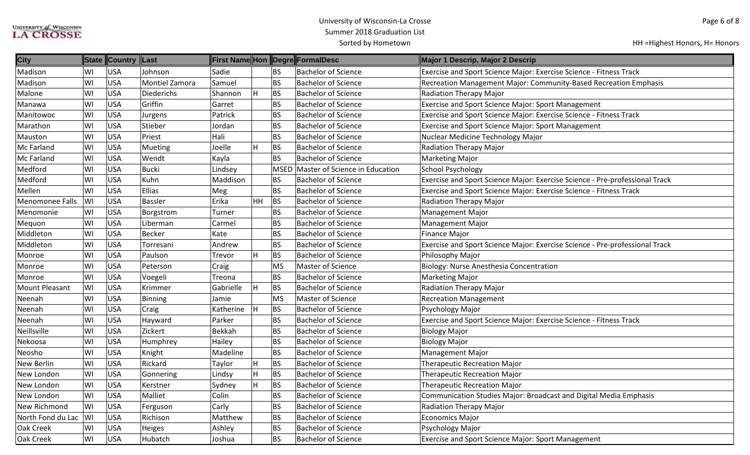| <b>City</b>            |    | State Country Last |                   |           |    |             | <b>First Name Hon Degre FormalDesc</b> | Major 1 Descrip, Major 2 Descrip                                            |
|------------------------|----|--------------------|-------------------|-----------|----|-------------|----------------------------------------|-----------------------------------------------------------------------------|
| Madison                | WI | <b>USA</b>         | Johnson           | Sadie     |    | <b>BS</b>   | <b>Bachelor of Science</b>             | Exercise and Sport Science Major: Exercise Science - Fitness Track          |
| Madison                | WI | <b>USA</b>         | Montiel Zamora    | Samuel    |    | <b>BS</b>   | <b>Bachelor of Science</b>             | Recreation Management Major: Community-Based Recreation Emphasis            |
| Malone                 | WI | <b>USA</b>         | <b>Diederichs</b> | Shannon   | H  | <b>BS</b>   | <b>Bachelor of Science</b>             | <b>Radiation Therapy Major</b>                                              |
| Manawa                 | WI | <b>USA</b>         | Griffin           | Garret    |    | <b>BS</b>   | <b>Bachelor of Science</b>             | Exercise and Sport Science Major: Sport Management                          |
| Manitowoc              | WI | <b>USA</b>         | Jurgens           | Patrick   |    | <b>BS</b>   | <b>Bachelor of Science</b>             | Exercise and Sport Science Major: Exercise Science - Fitness Track          |
| Marathon               | WI | <b>USA</b>         | Stieber           | Jordan    |    | <b>BS</b>   | <b>Bachelor of Science</b>             | Exercise and Sport Science Major: Sport Management                          |
| Mauston                | WI | <b>USA</b>         | Priest            | Hali      |    | <b>BS</b>   | <b>Bachelor of Science</b>             | Nuclear Medicine Technology Major                                           |
| Mc Farland             | WI | <b>USA</b>         | Mueting           | Joelle    | H  | BS          | <b>Bachelor of Science</b>             | <b>Radiation Therapy Major</b>                                              |
| Mc Farland             | WI | <b>USA</b>         | Wendt             | Kayla     |    | <b>BS</b>   | <b>Bachelor of Science</b>             | <b>Marketing Major</b>                                                      |
| Medford                | WI | <b>USA</b>         | <b>Bucki</b>      | Lindsey   |    | <b>MSED</b> | Master of Science in Education         | <b>School Psychology</b>                                                    |
| Medford                | WI | <b>USA</b>         | Kuhn              | Maddison  |    | <b>BS</b>   | <b>Bachelor of Science</b>             | Exercise and Sport Science Major: Exercise Science - Pre-professional Track |
| Mellen                 | WI | <b>USA</b>         | Ellias            | Meg       |    | <b>BS</b>   | <b>Bachelor of Science</b>             | Exercise and Sport Science Major: Exercise Science - Fitness Track          |
| Menomonee Falls        | W  | <b>USA</b>         | <b>Bassler</b>    | Erika     | HH | BS          | <b>Bachelor of Science</b>             | <b>Radiation Therapy Major</b>                                              |
| Menomonie              | WI | <b>USA</b>         | Borgstrom         | Turner    |    | <b>BS</b>   | <b>Bachelor of Science</b>             | <b>Management Major</b>                                                     |
| Mequon                 | WI | <b>USA</b>         | Liberman          | Carmel    |    | <b>BS</b>   | <b>Bachelor of Science</b>             | Management Major                                                            |
| Middleton              | WI | <b>USA</b>         | <b>Becker</b>     | Kate      |    | <b>BS</b>   | <b>Bachelor of Science</b>             | <b>Finance Major</b>                                                        |
| Middleton              | WI | <b>USA</b>         | Torresani         | Andrew    |    | <b>BS</b>   | <b>Bachelor of Science</b>             | Exercise and Sport Science Major: Exercise Science - Pre-professional Track |
| Monroe                 | WI | <b>USA</b>         | Paulson           | Trevor    |    | BS          | <b>Bachelor of Science</b>             | Philosophy Major                                                            |
| Monroe                 | WI | <b>USA</b>         | Peterson          | Craig     |    | <b>MS</b>   | Master of Science                      | Biology: Nurse Anesthesia Concentration                                     |
| Monroe                 | WI | <b>USA</b>         | Voegeli           | Treona    |    | <b>BS</b>   | <b>Bachelor of Science</b>             | <b>Marketing Major</b>                                                      |
| <b>Mount Pleasant</b>  | WI | <b>USA</b>         | Krimmer           | Gabrielle |    | <b>BS</b>   | <b>Bachelor of Science</b>             | <b>Radiation Therapy Major</b>                                              |
| Neenah                 | WI | <b>USA</b>         | <b>Binning</b>    | Jamie     |    | <b>MS</b>   | Master of Science                      | <b>Recreation Management</b>                                                |
| Neenah                 | WI | <b>USA</b>         | Craig             | Katherine |    | <b>BS</b>   | <b>Bachelor of Science</b>             | Psychology Major                                                            |
| Neenah                 | WI | <b>USA</b>         | Hayward           | Parker    |    | <b>BS</b>   | <b>Bachelor of Science</b>             | Exercise and Sport Science Major: Exercise Science - Fitness Track          |
| Neillsville            | WI | <b>USA</b>         | Zickert           | Bekkah    |    | <b>BS</b>   | <b>Bachelor of Science</b>             | <b>Biology Major</b>                                                        |
| Nekoosa                | WI | <b>USA</b>         | Humphrey          | Hailey    |    | <b>BS</b>   | <b>Bachelor of Science</b>             | <b>Biology Major</b>                                                        |
| Neosho                 | WI | <b>USA</b>         | Knight            | Madeline  |    | <b>BS</b>   | <b>Bachelor of Science</b>             | Management Major                                                            |
| New Berlin             | WI | <b>USA</b>         | Rickard           | Taylor    |    | <b>BS</b>   | <b>Bachelor of Science</b>             | <b>Therapeutic Recreation Major</b>                                         |
| New London             | WI | <b>USA</b>         | Gonnering         | Lindsy    |    | <b>BS</b>   | <b>Bachelor of Science</b>             | <b>Therapeutic Recreation Major</b>                                         |
| New London             | WI | <b>USA</b>         | Kerstner          | Sydney    |    | <b>BS</b>   | <b>Bachelor of Science</b>             | Therapeutic Recreation Major                                                |
| New London             | WI | <b>USA</b>         | Malliet           | Colin     |    | <b>BS</b>   | <b>Bachelor of Science</b>             | Communication Studies Major: Broadcast and Digital Media Emphasis           |
| New Richmond           | WI | <b>USA</b>         | Ferguson          | Carly     |    | <b>BS</b>   | <b>Bachelor of Science</b>             | <b>Radiation Therapy Major</b>                                              |
| North Fond du Lac   WI |    | <b>USA</b>         | Richison          | Matthew   |    | <b>BS</b>   | <b>Bachelor of Science</b>             | <b>Economics Major</b>                                                      |
| Oak Creek              | WI | <b>USA</b>         | Heiges            | Ashley    |    | <b>BS</b>   | <b>Bachelor of Science</b>             | Psychology Major                                                            |
| Oak Creek              | WI | <b>USA</b>         | Hubatch           | Joshua    |    | <b>BS</b>   | <b>Bachelor of Science</b>             | Exercise and Sport Science Major: Sport Management                          |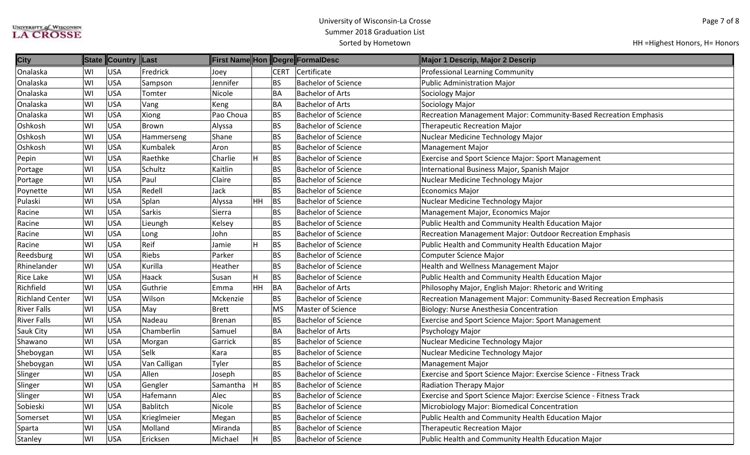| <b>City</b>            |     | State Country Last |                 |               |    |             | First Name Hon Degre FormalDesc | Major 1 Descrip, Major 2 Descrip                                   |
|------------------------|-----|--------------------|-----------------|---------------|----|-------------|---------------------------------|--------------------------------------------------------------------|
| Onalaska               | lwı | <b>USA</b>         | Fredrick        | Joey          |    | <b>CERT</b> | Certificate                     | Professional Learning Community                                    |
| Onalaska               | lwı | <b>USA</b>         | Sampson         | Jennifer      |    | <b>BS</b>   | <b>Bachelor of Science</b>      | Public Administration Major                                        |
| Onalaska               | WI  | <b>USA</b>         | Tomter          | Nicole        |    | BA          | <b>Bachelor of Arts</b>         | Sociology Major                                                    |
| Onalaska               | lwı | <b>USA</b>         | Vang            | Keng          |    | <b>BA</b>   | <b>Bachelor of Arts</b>         | Sociology Major                                                    |
| Onalaska               | lwı | <b>USA</b>         | Xiong           | Pao Choua     |    | BS          | <b>Bachelor of Science</b>      | Recreation Management Major: Community-Based Recreation Emphasis   |
| Oshkosh                | WI  | <b>USA</b>         | <b>Brown</b>    | Alyssa        |    | <b>BS</b>   | <b>Bachelor of Science</b>      | <b>Therapeutic Recreation Major</b>                                |
| Oshkosh                | lwı | <b>USA</b>         | Hammerseng      | Shane         |    | <b>BS</b>   | <b>Bachelor of Science</b>      | Nuclear Medicine Technology Major                                  |
| Oshkosh                | WI  | <b>USA</b>         | Kumbalek        | Aron          |    | BS          | <b>Bachelor of Science</b>      | <b>Management Major</b>                                            |
| Pepin                  | WI  | <b>USA</b>         | Raethke         | Charlie       |    | BS          | <b>Bachelor of Science</b>      | <b>Exercise and Sport Science Major: Sport Management</b>          |
| Portage                | WI  | <b>USA</b>         | Schultz         | Kaitlin       |    | <b>BS</b>   | <b>Bachelor of Science</b>      | International Business Major, Spanish Major                        |
| Portage                | WI  | <b>USA</b>         | Paul            | Claire        |    | BS          | <b>Bachelor of Science</b>      | Nuclear Medicine Technology Major                                  |
| Poynette               | lwı | <b>USA</b>         | Redell          | Jack          |    | BS          | <b>Bachelor of Science</b>      | <b>Economics Major</b>                                             |
| Pulaski                | WI  | <b>USA</b>         | Splan           | Alyssa        | HH | BS          | <b>Bachelor of Science</b>      | Nuclear Medicine Technology Major                                  |
| Racine                 | WI  | <b>USA</b>         | Sarkis          | Sierra        |    | <b>BS</b>   | <b>Bachelor of Science</b>      | Management Major, Economics Major                                  |
| Racine                 | WI  | <b>USA</b>         | Lieungh         | Kelsey        |    | BS          | <b>Bachelor of Science</b>      | Public Health and Community Health Education Major                 |
| Racine                 | lwı | <b>USA</b>         | Long            | John          |    | BS          | <b>Bachelor of Science</b>      | Recreation Management Major: Outdoor Recreation Emphasis           |
| Racine                 | lwı | <b>USA</b>         | Reif            | Jamie         | H  | <b>BS</b>   | <b>Bachelor of Science</b>      | Public Health and Community Health Education Major                 |
| Reedsburg              | lwı | <b>USA</b>         | Riebs           | Parker        |    | <b>BS</b>   | <b>Bachelor of Science</b>      | Computer Science Major                                             |
| Rhinelander            | lwı | <b>USA</b>         | Kurilla         | Heather       |    | BS          | <b>Bachelor of Science</b>      | Health and Wellness Management Major                               |
| Rice Lake              | WI  | <b>USA</b>         | Haack           | Susan         |    | BS          | <b>Bachelor of Science</b>      | Public Health and Community Health Education Major                 |
| Richfield              | lwı | <b>USA</b>         | Guthrie         | Emma          | HH | BA          | <b>Bachelor of Arts</b>         | Philosophy Major, English Major: Rhetoric and Writing              |
| <b>Richland Center</b> | WI  | <b>USA</b>         | Wilson          | Mckenzie      |    | <b>BS</b>   | <b>Bachelor of Science</b>      | Recreation Management Major: Community-Based Recreation Emphasis   |
| <b>River Falls</b>     | lwı | <b>USA</b>         | May             | <b>Brett</b>  |    | MS          | <b>Master of Science</b>        | Biology: Nurse Anesthesia Concentration                            |
| <b>River Falls</b>     | lwı | <b>USA</b>         | Nadeau          | <b>Brenan</b> |    | <b>BS</b>   | <b>Bachelor of Science</b>      | Exercise and Sport Science Major: Sport Management                 |
| Sauk City              | lwı | <b>USA</b>         | Chamberlin      | Samuel        |    | <b>BA</b>   | <b>Bachelor of Arts</b>         | Psychology Major                                                   |
| Shawano                | lwı | <b>USA</b>         | Morgan          | Garrick       |    | <b>BS</b>   | <b>Bachelor of Science</b>      | Nuclear Medicine Technology Major                                  |
| Sheboygan              | WI  | <b>USA</b>         | Selk            | Kara          |    | BS          | <b>Bachelor of Science</b>      | Nuclear Medicine Technology Major                                  |
| Sheboygan              | WI  | <b>USA</b>         | Van Calligan    | Tyler         |    | <b>BS</b>   | <b>Bachelor of Science</b>      | Management Major                                                   |
| Slinger                | WI  | <b>USA</b>         | Allen           | Joseph        |    | BS          | <b>Bachelor of Science</b>      | Exercise and Sport Science Major: Exercise Science - Fitness Track |
| <b>Slinger</b>         | lwı | <b>USA</b>         | Gengler         | Samantha H    |    | BS          | <b>Bachelor of Science</b>      | Radiation Therapy Major                                            |
| Slinger                | lwı | USA                | Hafemann        | Alec          |    | <b>BS</b>   | <b>Bachelor of Science</b>      | Exercise and Sport Science Major: Exercise Science - Fitness Track |
| Sobieski               | WI  | <b>USA</b>         | <b>Bablitch</b> | Nicole        |    | BS          | <b>Bachelor of Science</b>      | Microbiology Major: Biomedical Concentration                       |
| Somerset               | lwı | <b>USA</b>         | Krieglmeier     | Megan         |    | BS          | <b>Bachelor of Science</b>      | Public Health and Community Health Education Major                 |
| Sparta                 | lwı | <b>USA</b>         | Molland         | Miranda       |    | <b>BS</b>   | <b>Bachelor of Science</b>      | <b>Therapeutic Recreation Major</b>                                |
| Stanley                | WI  | <b>USA</b>         | Ericksen        | Michael       |    | <b>BS</b>   | <b>Bachelor of Science</b>      | Public Health and Community Health Education Major                 |